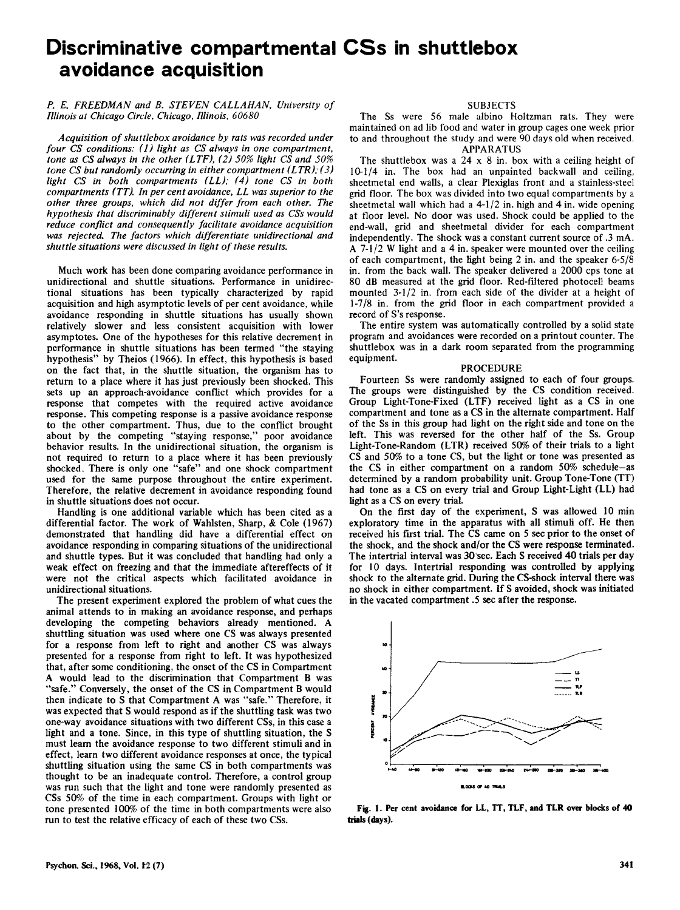# **Discriminative compartmental CSs in shuttlebox avoidance acquisition**

## *P. E. FREEDMAN and B. STEVEN CALLAHAN. University of Illinois at Chicago Circle, Chicago, nlinois, 60680*

*Acquisition of shuttlebox avoidance by rats was recorded under four* CS *conditions:* (1) *light as* CS *always in one compartment, tone as* CS *always in the other (LTF),* (2) *50% light* CS *and 50% tone* CS *but randomly occurring in either compartment (LTR);* (3) *light* CS *in both compartments (LL);* (4) *tone* CS *in both compartments (TT). In per cent avoidance, LL was superior to the other three groups, which did not differ from each other. The hypothesis that discriminably different stimuli used as CSs would reduce conflict and consequently facilitate avoidance acquisition was rejected. The factors which differentiate unidirectional and shuttle situations were discussed in light of these results.* 

Much work has been done comparing avoidance performance in unidirectional and shuttle situations. Performance in unidirectional situations has been typically characterized by rapid acquisition and high asymptotic levels of per cent avoidance, while avoidance responding in shuttle situations has usually shown relatively slower and less consistent acquisition with lower asymptotes. One of the hypotheses for this relative decrement in performance in shuttle situations has been termed "the staying hypothesis" by Theios (1966). In effect, this hypothesis is based on the fact that, in the shuttle situation, the organism has to return to a place where it has just previously been shocked. This sets up an approach-avoidance conflict which provides for a response that competes with the required active avoidance response. This competing response is a passive avoidance response to the other compartment. Thus, due to the conflict brought about by the competing "staying response," poor avoidance behavior results. In the unidirectional situation, the organism is not required to return to a place where it has been previously shocked. There is only one "safe" and one shock compartment used for the same purpose throughout the entire experiment. Therefore, the relative decrement in avoidance responding found in shuttle situations does not occur.

Handling is one additional variable which has been cited as a differential factor. The work of Wahlsten, Sharp, & Cole (1967) demonstrated that handling did have a differential effect on avoidance responding in comparing situations of the unidirectional and shuttle types. But it was concluded that handling had only a weak effect on freezing and that the immediate aftereffects of it were not the critical aspects which facilitated avoidance in unidirectional situations.

The present experiment explored the problem of what cues the animal attends to in making an avoidance response, and perhaps developing the competing behaviors already mentioned. A shuttling situation was used where one CS was always presented for a response from left to right and another CS was always presented for a response from right to left. It was hypothesized that, after some conditioning, the onset of the CS in Compartment A would lead to the discrimination that Compartment B was "safe." Conversely, the onset of the CS in Compartment B would then indicate to S that Compartment A was "safe." Therefore, it was expected that S would respond as if the shuttling task was two one-way avoidance situations with two different CSs, in this case a light and a tone. Since, in this type of shuttling situation, the S must learn the avoidance response to two different stimuli and in effect, learn two different avoidance responses at once, the typical shuttling situation using the same CS in both compartments was thought to be an inadequate control. Therefore, a control group was run such that the light and tone were randomly presented as CSs 50% of the time in each compartment. Groups with light or tone presented 100% of the time in both compartments were also run to test the relative efficacy of each of these two CSs.

# SUBJECTS

The Ss were 56 male albino Holtzman rats. They were maintained on ad lib food and water in group cages one week prior to and throughout the study and were 90 days old when received. APPARATUS

The shuttlebox was a  $24 \times 8$  in. box with a ceiling height of 10-1/4 in. The box had an unpainted backwall and ceiling, sheetmetal end walls, a clear Plexiglas front and a stainless·steel grid floor. The box was divided into two equal compartments by a sheetmetal wall which had a  $4-1/2$  in. high and 4 in. wide opening at floor level. No door was used. Shock could be applied to the end-wall, grid and sheetmetal divider for each compartment independently. The shock was a constant current source of  $.3 \text{ mA}$ . A 7-1/2 W light and a 4 in. speaker were mounted over the ceiling of each compartment, the light being 2 in. and the speaker 6·5/8 in. from the back wall. The speaker delivered a 2000 cps tone at 80 dB measured at the grid floor. Red-filtered photocell beams mounted 3·1/2 in. from each side of the divider at a height of 1-7/8 in. from the grid floor in each compartment provided a record of S's response.

The entire system was automatically controlled by a solid state program and avoidances were recorded on a printout counter. The shuttlebox was in a dark room separated from the programming equipment.

#### PROCEDURE

Fourteen Ss were randomly assigned to each of four groups. The groups were distinguished by the CS condition received. Group Light-Tone-Fixed (LTF) received light as a CS in one compartment and tone as a CS in the alternate compartment. Half of the Ss in this group had light on the right side and tone on the left. This was reversed for the other half of the Ss. Group Light-Tone-Random (LTR) received 50% of their trials to a light CS and 50% to a tone CS, but the light or tone was presented as the CS in either compartment on a random 50% schedule-as determined by a random probability unit. Group Tone-Tone (TT) had tone as a CS on every trial and Group Light-Light (LL) had light as a CS on every triaL

On the first day of the experiment, S was allowed 10 min exploratory time in the apparatus with all stimuli off. He then received his first trial. The CS carne on 5 sec prior to the onset of the shock, and the shock and/or the CS were response terminated. The intertrial interval was 30·sec. Each S received 40 trials per day for 10 days. Intertrial responding was controlled by applying shock to the alternate grid. During the CS-shock interval there was no shock in either compartment. If S avoided, shock was initiated in the vacated compartment .5 sec after the response.



Fig. I. Per cent avoidance for LL, IT, TLF, and TLR over blocks of 40 trials (days).